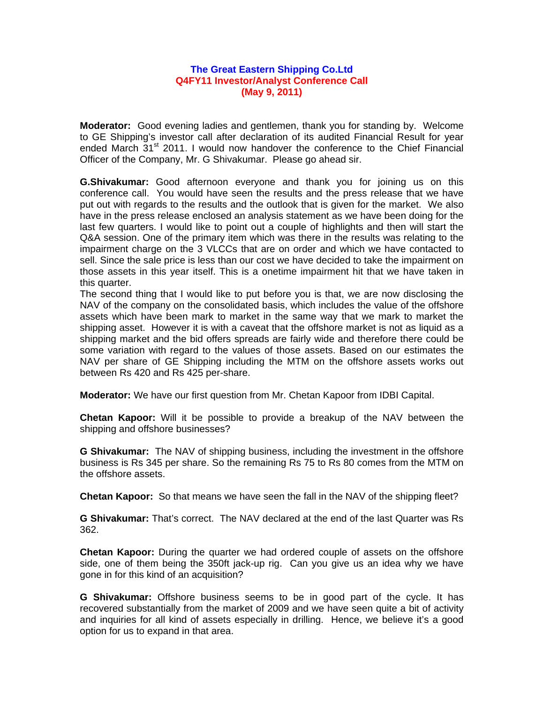## **The Great Eastern Shipping Co.Ltd Q4FY11 Investor/Analyst Conference Call (May 9, 2011)**

**Moderator:** Good evening ladies and gentlemen, thank you for standing by. Welcome to GE Shipping's investor call after declaration of its audited Financial Result for year ended March 31<sup>st</sup> 2011. I would now handover the conference to the Chief Financial Officer of the Company, Mr. G Shivakumar. Please go ahead sir.

**G.Shivakumar:** Good afternoon everyone and thank you for joining us on this conference call. You would have seen the results and the press release that we have put out with regards to the results and the outlook that is given for the market. We also have in the press release enclosed an analysis statement as we have been doing for the last few quarters. I would like to point out a couple of highlights and then will start the Q&A session. One of the primary item which was there in the results was relating to the impairment charge on the 3 VLCCs that are on order and which we have contacted to sell. Since the sale price is less than our cost we have decided to take the impairment on those assets in this year itself. This is a onetime impairment hit that we have taken in this quarter.

The second thing that I would like to put before you is that, we are now disclosing the NAV of the company on the consolidated basis, which includes the value of the offshore assets which have been mark to market in the same way that we mark to market the shipping asset. However it is with a caveat that the offshore market is not as liquid as a shipping market and the bid offers spreads are fairly wide and therefore there could be some variation with regard to the values of those assets. Based on our estimates the NAV per share of GE Shipping including the MTM on the offshore assets works out between Rs 420 and Rs 425 per-share.

**Moderator:** We have our first question from Mr. Chetan Kapoor from IDBI Capital.

**Chetan Kapoor:** Will it be possible to provide a breakup of the NAV between the shipping and offshore businesses?

**G Shivakumar:** The NAV of shipping business, including the investment in the offshore business is Rs 345 per share. So the remaining Rs 75 to Rs 80 comes from the MTM on the offshore assets.

**Chetan Kapoor:** So that means we have seen the fall in the NAV of the shipping fleet?

**G Shivakumar:** That's correct. The NAV declared at the end of the last Quarter was Rs 362.

**Chetan Kapoor:** During the quarter we had ordered couple of assets on the offshore side, one of them being the 350ft jack-up rig. Can you give us an idea why we have gone in for this kind of an acquisition?

**G Shivakumar:** Offshore business seems to be in good part of the cycle. It has recovered substantially from the market of 2009 and we have seen quite a bit of activity and inquiries for all kind of assets especially in drilling. Hence, we believe it's a good option for us to expand in that area.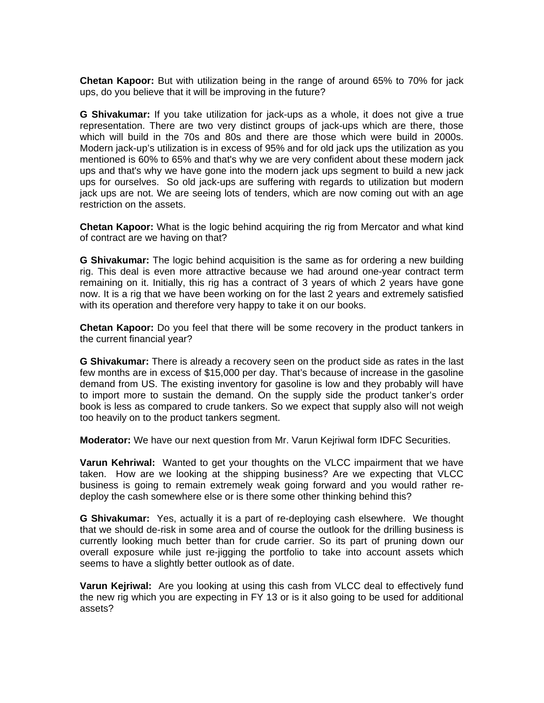**Chetan Kapoor:** But with utilization being in the range of around 65% to 70% for jack ups, do you believe that it will be improving in the future?

**G Shivakumar:** If you take utilization for jack-ups as a whole, it does not give a true representation. There are two very distinct groups of jack-ups which are there, those which will build in the 70s and 80s and there are those which were build in 2000s. Modern jack-up's utilization is in excess of 95% and for old jack ups the utilization as you mentioned is 60% to 65% and that's why we are very confident about these modern jack ups and that's why we have gone into the modern jack ups segment to build a new jack ups for ourselves. So old jack-ups are suffering with regards to utilization but modern jack ups are not. We are seeing lots of tenders, which are now coming out with an age restriction on the assets.

**Chetan Kapoor:** What is the logic behind acquiring the rig from Mercator and what kind of contract are we having on that?

**G Shivakumar:** The logic behind acquisition is the same as for ordering a new building rig. This deal is even more attractive because we had around one-year contract term remaining on it. Initially, this rig has a contract of 3 years of which 2 years have gone now. It is a rig that we have been working on for the last 2 years and extremely satisfied with its operation and therefore very happy to take it on our books.

**Chetan Kapoor:** Do you feel that there will be some recovery in the product tankers in the current financial year?

**G Shivakumar:** There is already a recovery seen on the product side as rates in the last few months are in excess of \$15,000 per day. That's because of increase in the gasoline demand from US. The existing inventory for gasoline is low and they probably will have to import more to sustain the demand. On the supply side the product tanker's order book is less as compared to crude tankers. So we expect that supply also will not weigh too heavily on to the product tankers segment.

**Moderator:** We have our next question from Mr. Varun Kejriwal form IDFC Securities.

**Varun Kehriwal:** Wanted to get your thoughts on the VLCC impairment that we have taken. How are we looking at the shipping business? Are we expecting that VLCC business is going to remain extremely weak going forward and you would rather redeploy the cash somewhere else or is there some other thinking behind this?

**G Shivakumar:** Yes, actually it is a part of re-deploying cash elsewhere. We thought that we should de-risk in some area and of course the outlook for the drilling business is currently looking much better than for crude carrier. So its part of pruning down our overall exposure while just re-jigging the portfolio to take into account assets which seems to have a slightly better outlook as of date.

**Varun Kejriwal:** Are you looking at using this cash from VLCC deal to effectively fund the new rig which you are expecting in FY 13 or is it also going to be used for additional assets?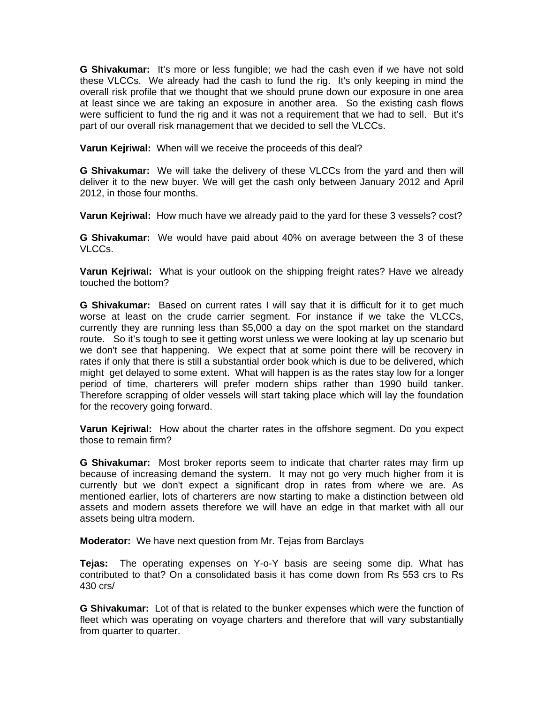**G Shivakumar:** It's more or less fungible; we had the cash even if we have not sold these VLCCs. We already had the cash to fund the rig. It's only keeping in mind the overall risk profile that we thought that we should prune down our exposure in one area at least since we are taking an exposure in another area. So the existing cash flows were sufficient to fund the rig and it was not a requirement that we had to sell. But it's part of our overall risk management that we decided to sell the VLCCs.

**Varun Kejriwal:** When will we receive the proceeds of this deal?

**G Shivakumar:** We will take the delivery of these VLCCs from the yard and then will deliver it to the new buyer. We will get the cash only between January 2012 and April 2012, in those four months.

**Varun Kejriwal:** How much have we already paid to the yard for these 3 vessels? cost?

**G Shivakumar:** We would have paid about 40% on average between the 3 of these VLCCs.

**Varun Kejriwal:** What is your outlook on the shipping freight rates? Have we already touched the bottom?

**G Shivakumar:** Based on current rates I will say that it is difficult for it to get much worse at least on the crude carrier segment. For instance if we take the VLCCs, currently they are running less than \$5,000 a day on the spot market on the standard route. So it's tough to see it getting worst unless we were looking at lay up scenario but we don't see that happening. We expect that at some point there will be recovery in rates if only that there is still a substantial order book which is due to be delivered, which might get delayed to some extent. What will happen is as the rates stay low for a longer period of time, charterers will prefer modern ships rather than 1990 build tanker. Therefore scrapping of older vessels will start taking place which will lay the foundation for the recovery going forward.

**Varun Kejriwal:** How about the charter rates in the offshore segment. Do you expect those to remain firm?

**G Shivakumar:** Most broker reports seem to indicate that charter rates may firm up because of increasing demand the system. It may not go very much higher from it is currently but we don't expect a significant drop in rates from where we are. As mentioned earlier, lots of charterers are now starting to make a distinction between old assets and modern assets therefore we will have an edge in that market with all our assets being ultra modern.

**Moderator:** We have next question from Mr. Tejas from Barclays

**Tejas:** The operating expenses on Y-o-Y basis are seeing some dip. What has contributed to that? On a consolidated basis it has come down from Rs 553 crs to Rs 430 crs/

**G Shivakumar:** Lot of that is related to the bunker expenses which were the function of fleet which was operating on voyage charters and therefore that will vary substantially from quarter to quarter.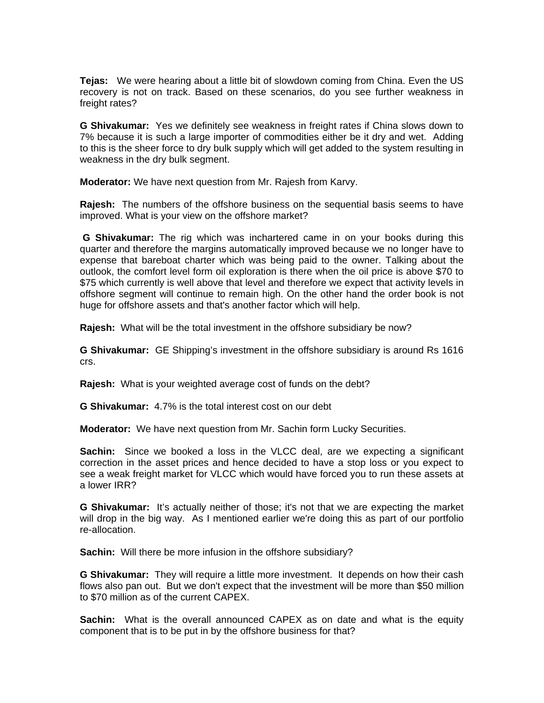**Tejas:** We were hearing about a little bit of slowdown coming from China. Even the US recovery is not on track. Based on these scenarios, do you see further weakness in freight rates?

**G Shivakumar:** Yes we definitely see weakness in freight rates if China slows down to 7% because it is such a large importer of commodities either be it dry and wet. Adding to this is the sheer force to dry bulk supply which will get added to the system resulting in weakness in the dry bulk segment.

**Moderator:** We have next question from Mr. Rajesh from Karvy.

**Rajesh:** The numbers of the offshore business on the sequential basis seems to have improved. What is your view on the offshore market?

**G Shivakumar:** The rig which was inchartered came in on your books during this quarter and therefore the margins automatically improved because we no longer have to expense that bareboat charter which was being paid to the owner. Talking about the outlook, the comfort level form oil exploration is there when the oil price is above \$70 to \$75 which currently is well above that level and therefore we expect that activity levels in offshore segment will continue to remain high. On the other hand the order book is not huge for offshore assets and that's another factor which will help.

**Rajesh:** What will be the total investment in the offshore subsidiary be now?

**G Shivakumar:** GE Shipping's investment in the offshore subsidiary is around Rs 1616 crs.

**Rajesh:** What is your weighted average cost of funds on the debt?

**G Shivakumar:** 4.7% is the total interest cost on our debt

**Moderator:** We have next question from Mr. Sachin form Lucky Securities.

**Sachin:** Since we booked a loss in the VLCC deal, are we expecting a significant correction in the asset prices and hence decided to have a stop loss or you expect to see a weak freight market for VLCC which would have forced you to run these assets at a lower IRR?

**G Shivakumar:** It's actually neither of those; it's not that we are expecting the market will drop in the big way. As I mentioned earlier we're doing this as part of our portfolio re-allocation.

**Sachin:** Will there be more infusion in the offshore subsidiary?

**G Shivakumar:** They will require a little more investment. It depends on how their cash flows also pan out. But we don't expect that the investment will be more than \$50 million to \$70 million as of the current CAPEX.

**Sachin:** What is the overall announced CAPEX as on date and what is the equity component that is to be put in by the offshore business for that?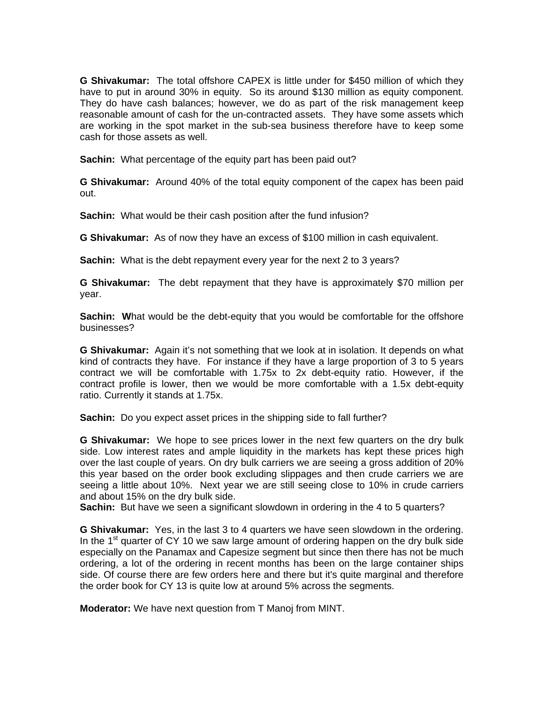**G Shivakumar:** The total offshore CAPEX is little under for \$450 million of which they have to put in around 30% in equity. So its around \$130 million as equity component. They do have cash balances; however, we do as part of the risk management keep reasonable amount of cash for the un-contracted assets. They have some assets which are working in the spot market in the sub-sea business therefore have to keep some cash for those assets as well.

**Sachin:** What percentage of the equity part has been paid out?

**G Shivakumar:** Around 40% of the total equity component of the capex has been paid out.

**Sachin:** What would be their cash position after the fund infusion?

**G Shivakumar:** As of now they have an excess of \$100 million in cash equivalent.

**Sachin:** What is the debt repayment every year for the next 2 to 3 years?

**G Shivakumar:** The debt repayment that they have is approximately \$70 million per year.

**Sachin:** What would be the debt-equity that you would be comfortable for the offshore businesses?

**G Shivakumar:** Again it's not something that we look at in isolation. It depends on what kind of contracts they have. For instance if they have a large proportion of 3 to 5 years contract we will be comfortable with 1.75x to 2x debt-equity ratio. However, if the contract profile is lower, then we would be more comfortable with a 1.5x debt-equity ratio. Currently it stands at 1.75x.

**Sachin:** Do you expect asset prices in the shipping side to fall further?

**G Shivakumar:** We hope to see prices lower in the next few quarters on the dry bulk side. Low interest rates and ample liquidity in the markets has kept these prices high over the last couple of years. On dry bulk carriers we are seeing a gross addition of 20% this year based on the order book excluding slippages and then crude carriers we are seeing a little about 10%. Next year we are still seeing close to 10% in crude carriers and about 15% on the dry bulk side.

**Sachin:** But have we seen a significant slowdown in ordering in the 4 to 5 quarters?

**G Shivakumar:** Yes, in the last 3 to 4 quarters we have seen slowdown in the ordering. In the  $1<sup>st</sup>$  quarter of CY 10 we saw large amount of ordering happen on the dry bulk side especially on the Panamax and Capesize segment but since then there has not be much ordering, a lot of the ordering in recent months has been on the large container ships side. Of course there are few orders here and there but it's quite marginal and therefore the order book for CY 13 is quite low at around 5% across the segments.

**Moderator:** We have next question from T Manoj from MINT.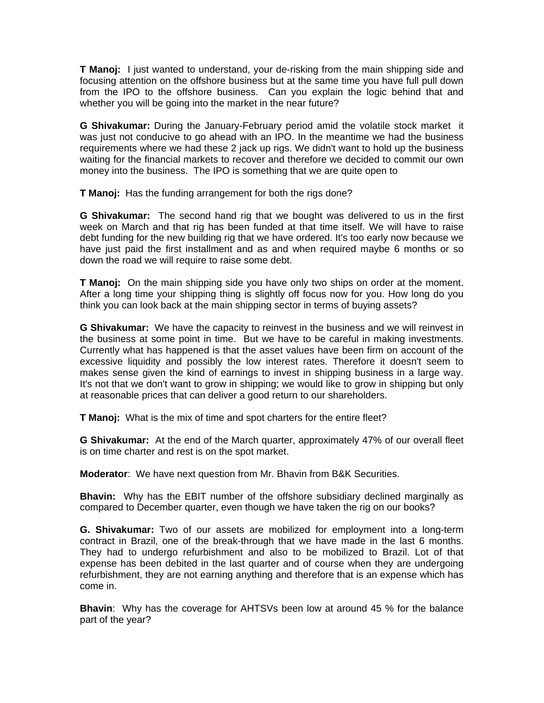**T Manoj:** I just wanted to understand, your de-risking from the main shipping side and focusing attention on the offshore business but at the same time you have full pull down from the IPO to the offshore business. Can you explain the logic behind that and whether you will be going into the market in the near future?

**G Shivakumar:** During the January-February period amid the volatile stock marketit was just not conducive to go ahead with an IPO. In the meantime we had the business requirements where we had these 2 jack up rigs. We didn't want to hold up the business waiting for the financial markets to recover and therefore we decided to commit our own money into the business. The IPO is something that we are quite open to

**T Manoj:** Has the funding arrangement for both the rigs done?

**G Shivakumar:** The second hand rig that we bought was delivered to us in the first week on March and that rig has been funded at that time itself. We will have to raise debt funding for the new building rig that we have ordered. It's too early now because we have just paid the first installment and as and when required maybe 6 months or so down the road we will require to raise some debt.

**T Manoj:** On the main shipping side you have only two ships on order at the moment. After a long time your shipping thing is slightly off focus now for you. How long do you think you can look back at the main shipping sector in terms of buying assets?

**G Shivakumar:** We have the capacity to reinvest in the business and we will reinvest in the business at some point in time. But we have to be careful in making investments. Currently what has happened is that the asset values have been firm on account of the excessive liquidity and possibly the low interest rates. Therefore it doesn't seem to makes sense given the kind of earnings to invest in shipping business in a large way. It's not that we don't want to grow in shipping; we would like to grow in shipping but only at reasonable prices that can deliver a good return to our shareholders.

**T Manoj:** What is the mix of time and spot charters for the entire fleet?

**G Shivakumar:** At the end of the March quarter, approximately 47% of our overall fleet is on time charter and rest is on the spot market.

**Moderator**: We have next question from Mr. Bhavin from B&K Securities.

**Bhavin:** Why has the EBIT number of the offshore subsidiary declined marginally as compared to December quarter, even though we have taken the rig on our books?

**G. Shivakumar:** Two of our assets are mobilized for employment into a long-term contract in Brazil, one of the break-through that we have made in the last 6 months. They had to undergo refurbishment and also to be mobilized to Brazil. Lot of that expense has been debited in the last quarter and of course when they are undergoing refurbishment, they are not earning anything and therefore that is an expense which has come in.

**Bhavin**: Why has the coverage for AHTSVs been low at around 45 % for the balance part of the year?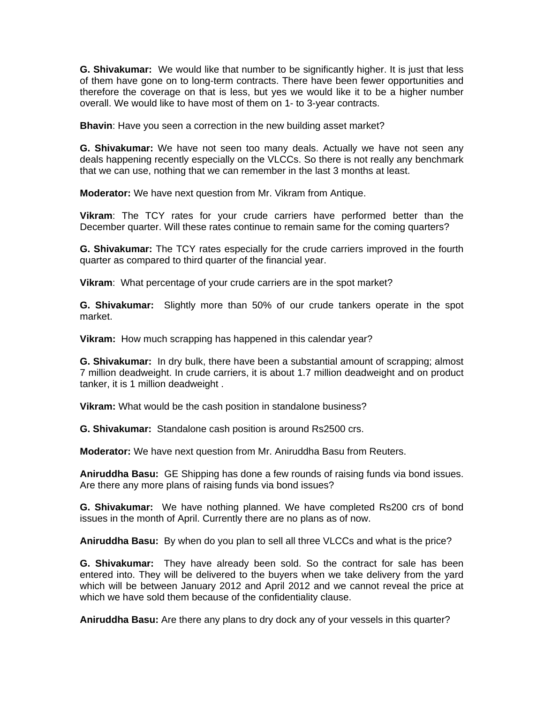**G. Shivakumar:** We would like that number to be significantly higher. It is just that less of them have gone on to long-term contracts. There have been fewer opportunities and therefore the coverage on that is less, but yes we would like it to be a higher number overall. We would like to have most of them on 1- to 3-year contracts.

**Bhavin**: Have you seen a correction in the new building asset market?

**G. Shivakumar:** We have not seen too many deals. Actually we have not seen any deals happening recently especially on the VLCCs. So there is not really any benchmark that we can use, nothing that we can remember in the last 3 months at least.

**Moderator:** We have next question from Mr. Vikram from Antique.

**Vikram**: The TCY rates for your crude carriers have performed better than the December quarter. Will these rates continue to remain same for the coming quarters?

**G. Shivakumar:** The TCY rates especially for the crude carriers improved in the fourth quarter as compared to third quarter of the financial year.

**Vikram**: What percentage of your crude carriers are in the spot market?

**G. Shivakumar:** Slightly more than 50% of our crude tankers operate in the spot market.

**Vikram:** How much scrapping has happened in this calendar year?

**G. Shivakumar:** In dry bulk, there have been a substantial amount of scrapping; almost 7 million deadweight. In crude carriers, it is about 1.7 million deadweight and on product tanker, it is 1 million deadweight .

**Vikram:** What would be the cash position in standalone business?

**G. Shivakumar:** Standalone cash position is around Rs2500 crs.

**Moderator:** We have next question from Mr. Aniruddha Basu from Reuters.

**Aniruddha Basu:** GE Shipping has done a few rounds of raising funds via bond issues. Are there any more plans of raising funds via bond issues?

**G. Shivakumar:** We have nothing planned. We have completed Rs200 crs of bond issues in the month of April. Currently there are no plans as of now.

**Aniruddha Basu:** By when do you plan to sell all three VLCCs and what is the price?

**G. Shivakumar:** They have already been sold. So the contract for sale has been entered into. They will be delivered to the buyers when we take delivery from the yard which will be between January 2012 and April 2012 and we cannot reveal the price at which we have sold them because of the confidentiality clause.

**Aniruddha Basu:** Are there any plans to dry dock any of your vessels in this quarter?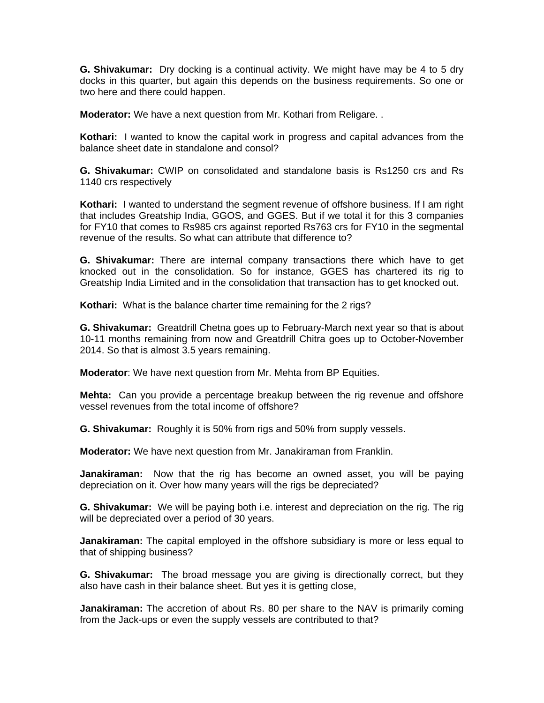**G. Shivakumar:** Dry docking is a continual activity. We might have may be 4 to 5 dry docks in this quarter, but again this depends on the business requirements. So one or two here and there could happen.

**Moderator:** We have a next question from Mr. Kothari from Religare. .

**Kothari:** I wanted to know the capital work in progress and capital advances from the balance sheet date in standalone and consol?

**G. Shivakumar:** CWIP on consolidated and standalone basis is Rs1250 crs and Rs 1140 crs respectively

**Kothari:** I wanted to understand the segment revenue of offshore business. If I am right that includes Greatship India, GGOS, and GGES. But if we total it for this 3 companies for FY10 that comes to Rs985 crs against reported Rs763 crs for FY10 in the segmental revenue of the results. So what can attribute that difference to?

**G. Shivakumar:** There are internal company transactions there which have to get knocked out in the consolidation. So for instance, GGES has chartered its rig to Greatship India Limited and in the consolidation that transaction has to get knocked out.

**Kothari:** What is the balance charter time remaining for the 2 rigs?

**G. Shivakumar:** Greatdrill Chetna goes up to February-March next year so that is about 10-11 months remaining from now and Greatdrill Chitra goes up to October-November 2014. So that is almost 3.5 years remaining.

**Moderator**: We have next question from Mr. Mehta from BP Equities.

**Mehta:** Can you provide a percentage breakup between the rig revenue and offshore vessel revenues from the total income of offshore?

**G. Shivakumar:** Roughly it is 50% from rigs and 50% from supply vessels.

**Moderator:** We have next question from Mr. Janakiraman from Franklin.

**Janakiraman:** Now that the rig has become an owned asset, you will be paying depreciation on it. Over how many years will the rigs be depreciated?

**G. Shivakumar:** We will be paying both i.e. interest and depreciation on the rig. The rig will be depreciated over a period of 30 years.

**Janakiraman:** The capital employed in the offshore subsidiary is more or less equal to that of shipping business?

**G. Shivakumar:** The broad message you are giving is directionally correct, but they also have cash in their balance sheet. But yes it is getting close,

**Janakiraman:** The accretion of about Rs. 80 per share to the NAV is primarily coming from the Jack-ups or even the supply vessels are contributed to that?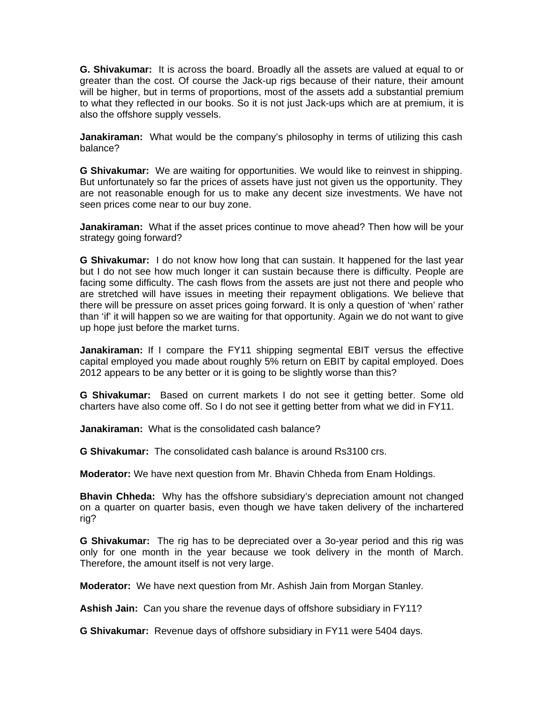**G. Shivakumar:** It is across the board. Broadly all the assets are valued at equal to or greater than the cost. Of course the Jack-up rigs because of their nature, their amount will be higher, but in terms of proportions, most of the assets add a substantial premium to what they reflected in our books. So it is not just Jack-ups which are at premium, it is also the offshore supply vessels.

**Janakiraman:** What would be the company's philosophy in terms of utilizing this cash balance?

**G Shivakumar:** We are waiting for opportunities. We would like to reinvest in shipping. But unfortunately so far the prices of assets have just not given us the opportunity. They are not reasonable enough for us to make any decent size investments. We have not seen prices come near to our buy zone.

**Janakiraman:** What if the asset prices continue to move ahead? Then how will be your strategy going forward?

**G Shivakumar:** I do not know how long that can sustain. It happened for the last year but I do not see how much longer it can sustain because there is difficulty. People are facing some difficulty. The cash flows from the assets are just not there and people who are stretched will have issues in meeting their repayment obligations. We believe that there will be pressure on asset prices going forward. It is only a question of 'when' rather than 'if' it will happen so we are waiting for that opportunity. Again we do not want to give up hope just before the market turns.

**Janakiraman:** If I compare the FY11 shipping segmental EBIT versus the effective capital employed you made about roughly 5% return on EBIT by capital employed. Does 2012 appears to be any better or it is going to be slightly worse than this?

**G Shivakumar:** Based on current markets I do not see it getting better. Some old charters have also come off. So I do not see it getting better from what we did in FY11.

**Janakiraman:** What is the consolidated cash balance?

**G Shivakumar:** The consolidated cash balance is around Rs3100 crs.

**Moderator:** We have next question from Mr. Bhavin Chheda from Enam Holdings.

**Bhavin Chheda:** Why has the offshore subsidiary's depreciation amount not changed on a quarter on quarter basis, even though we have taken delivery of the inchartered rig?

**G Shivakumar:** The rig has to be depreciated over a 3o-year period and this rig was only for one month in the year because we took delivery in the month of March. Therefore, the amount itself is not very large.

**Moderator:** We have next question from Mr. Ashish Jain from Morgan Stanley.

**Ashish Jain:** Can you share the revenue days of offshore subsidiary in FY11?

**G Shivakumar:** Revenue days of offshore subsidiary in FY11 were 5404 days.